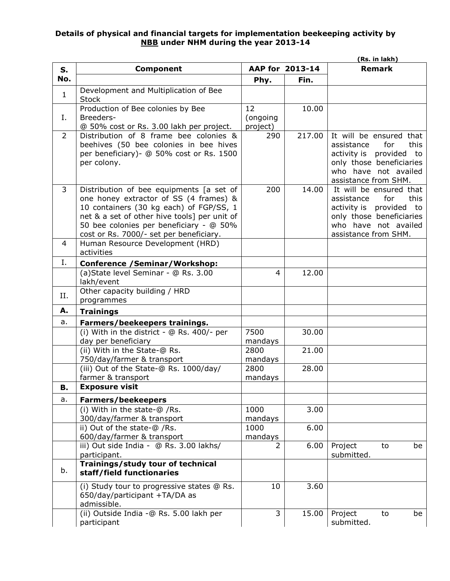## **Details of physical and financial targets for implementation beekeeping activity by NBB under NHM during the year 2013-14**

|                |                                                                                                                                                                                                                                                                     |                            |                 | (Rs. in lakh)                                                                                                                                               |
|----------------|---------------------------------------------------------------------------------------------------------------------------------------------------------------------------------------------------------------------------------------------------------------------|----------------------------|-----------------|-------------------------------------------------------------------------------------------------------------------------------------------------------------|
| S.             | <b>Component</b>                                                                                                                                                                                                                                                    |                            | AAP for 2013-14 | <b>Remark</b>                                                                                                                                               |
| No.            |                                                                                                                                                                                                                                                                     | Phy.                       | Fin.            |                                                                                                                                                             |
| $\mathbf{1}$   | Development and Multiplication of Bee<br><b>Stock</b>                                                                                                                                                                                                               |                            |                 |                                                                                                                                                             |
| Ι.             | Production of Bee colonies by Bee<br>Breeders-<br>@ 50% cost or Rs. 3.00 lakh per project.                                                                                                                                                                          | 12<br>(ongoing<br>project) | 10.00           |                                                                                                                                                             |
| $\overline{2}$ | Distribution of 8 frame bee colonies &<br>beehives (50 bee colonies in bee hives<br>per beneficiary)- @ 50% cost or Rs. 1500<br>per colony.                                                                                                                         | 290                        | 217.00          | It will be ensured that<br>this<br>assistance<br>for<br>activity is provided to<br>only those beneficiaries<br>who have not availed<br>assistance from SHM. |
| 3              | Distribution of bee equipments [a set of<br>one honey extractor of SS (4 frames) &<br>10 containers (30 kg each) of FGP/SS, 1<br>net & a set of other hive tools] per unit of<br>50 bee colonies per beneficiary - @ 50%<br>cost or Rs. 7000/- set per beneficiary. | 200                        | 14.00           | It will be ensured that<br>this<br>for<br>assistance<br>activity is provided to<br>only those beneficiaries<br>who have not availed<br>assistance from SHM. |
| 4              | Human Resource Development (HRD)<br>activities                                                                                                                                                                                                                      |                            |                 |                                                                                                                                                             |
| Ι.             | <b>Conference / Seminar/Workshop:</b>                                                                                                                                                                                                                               |                            |                 |                                                                                                                                                             |
|                | (a) State level Seminar - @ Rs. 3.00<br>lakh/event                                                                                                                                                                                                                  | 4                          | 12.00           |                                                                                                                                                             |
| Н.             | Other capacity building / HRD<br>programmes                                                                                                                                                                                                                         |                            |                 |                                                                                                                                                             |
| А.             | <b>Trainings</b>                                                                                                                                                                                                                                                    |                            |                 |                                                                                                                                                             |
| a.             | Farmers/beekeepers trainings.                                                                                                                                                                                                                                       |                            |                 |                                                                                                                                                             |
|                | (i) With in the district - @ Rs. 400/- per<br>day per beneficiary                                                                                                                                                                                                   | 7500<br>mandays            | 30.00           |                                                                                                                                                             |
|                | (ii) With in the State-@ Rs.<br>750/day/farmer & transport                                                                                                                                                                                                          | 2800<br>mandays            | 21.00           |                                                                                                                                                             |
|                | (iii) Out of the State-@ Rs. 1000/day/                                                                                                                                                                                                                              | 2800                       | 28.00           |                                                                                                                                                             |
|                | farmer & transport                                                                                                                                                                                                                                                  | mandays                    |                 |                                                                                                                                                             |
| В.             | <b>Exposure visit</b>                                                                                                                                                                                                                                               |                            |                 |                                                                                                                                                             |
| a.             | <b>Farmers/beekeepers</b>                                                                                                                                                                                                                                           |                            |                 |                                                                                                                                                             |
|                | (i) With in the state-@ /Rs.<br>300/day/farmer & transport                                                                                                                                                                                                          | 1000<br>mandays            | 3.00            |                                                                                                                                                             |
|                | ii) Out of the state-@ /Rs.                                                                                                                                                                                                                                         | 1000                       | 6.00            |                                                                                                                                                             |
|                | 600/day/farmer & transport                                                                                                                                                                                                                                          | mandays                    |                 |                                                                                                                                                             |
|                | iii) Out side India - @ Rs. 3.00 lakhs/<br>participant.                                                                                                                                                                                                             | $\overline{2}$             | 6.00            | Project<br>to<br>be<br>submitted.                                                                                                                           |
| b.             | Trainings/study tour of technical<br>staff/field functionaries                                                                                                                                                                                                      |                            |                 |                                                                                                                                                             |
|                | (i) Study tour to progressive states @ Rs.<br>650/day/participant +TA/DA as<br>admissible.                                                                                                                                                                          | 10                         | 3.60            |                                                                                                                                                             |
|                | (ii) Outside India -@ Rs. 5.00 lakh per<br>participant                                                                                                                                                                                                              | 3                          | 15.00           | Project<br>to<br>be<br>submitted.                                                                                                                           |